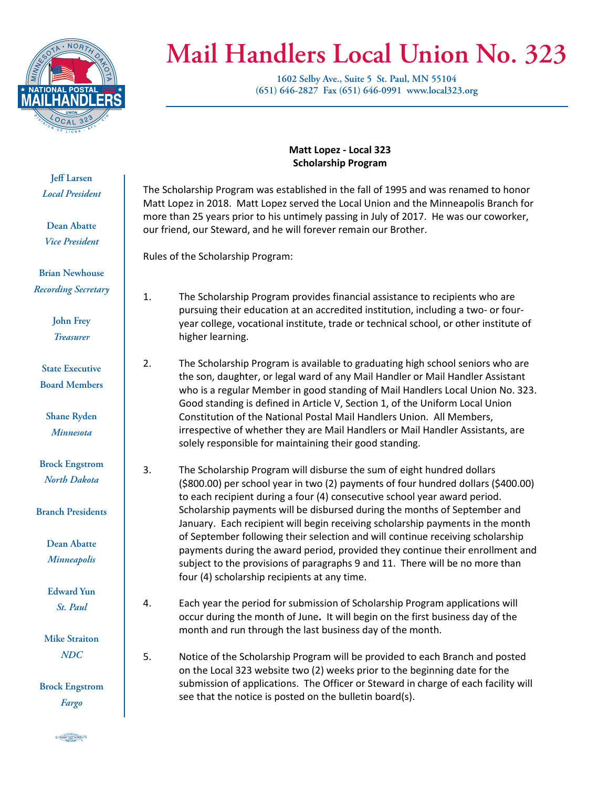

## **Mail Handlers Local Union No. 323**

**1602 Selby Ave., Suite 5 St. Paul, MN 55104 (651) 646-2827 Fax (651) 646-0991 www.local323.org**

**Jeff Larsen** *Local President*

**Dean Abatte** *Vice President*

**Brian Newhouse** *Recording Secretary*

> **John Frey** *Treasurer*

**State Executive Board Members**

**Shane Ryden** *Minnesota*

**Brock Engstrom** *North Dakota*

**Branch Presidents**

**Dean Abatte** *Minneapolis*

**Edward Yun** *St. Paul*

**Mike Straiton** *NDC*

**Brock Engstrom** *Fargo*

S CRADIT MARICOURTY 5

## **Matt Lopez - Local 323 Scholarship Program**

The Scholarship Program was established in the fall of 1995 and was renamed to honor Matt Lopez in 2018. Matt Lopez served the Local Union and the Minneapolis Branch for more than 25 years prior to his untimely passing in July of 2017. He was our coworker, our friend, our Steward, and he will forever remain our Brother.

Rules of the Scholarship Program:

- 1. The Scholarship Program provides financial assistance to recipients who are pursuing their education at an accredited institution, including a two- or fouryear college, vocational institute, trade or technical school, or other institute of higher learning.
- 2. The Scholarship Program is available to graduating high school seniors who are the son, daughter, or legal ward of any Mail Handler or Mail Handler Assistant who is a regular Member in good standing of Mail Handlers Local Union No. 323. Good standing is defined in Article V, Section 1, of the Uniform Local Union Constitution of the National Postal Mail Handlers Union. All Members, irrespective of whether they are Mail Handlers or Mail Handler Assistants, are solely responsible for maintaining their good standing.
- 3. The Scholarship Program will disburse the sum of eight hundred dollars (\$800.00) per school year in two (2) payments of four hundred dollars (\$400.00) to each recipient during a four (4) consecutive school year award period. Scholarship payments will be disbursed during the months of September and January. Each recipient will begin receiving scholarship payments in the month of September following their selection and will continue receiving scholarship payments during the award period, provided they continue their enrollment and subject to the provisions of paragraphs 9 and 11. There will be no more than four (4) scholarship recipients at any time.
- 4. Each year the period for submission of Scholarship Program applications will occur during the month of June**.** It will begin on the first business day of the month and run through the last business day of the month.
- 5. Notice of the Scholarship Program will be provided to each Branch and posted on the Local 323 website two (2) weeks prior to the beginning date for the submission of applications. The Officer or Steward in charge of each facility will see that the notice is posted on the bulletin board(s).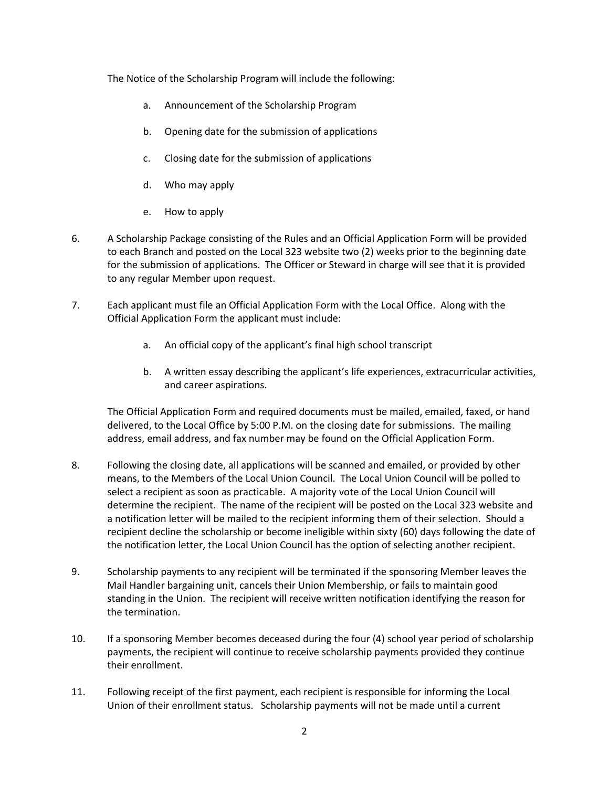The Notice of the Scholarship Program will include the following:

- a. Announcement of the Scholarship Program
- b. Opening date for the submission of applications
- c. Closing date for the submission of applications
- d. Who may apply
- e. How to apply
- 6. A Scholarship Package consisting of the Rules and an Official Application Form will be provided to each Branch and posted on the Local 323 website two (2) weeks prior to the beginning date for the submission of applications. The Officer or Steward in charge will see that it is provided to any regular Member upon request.
- 7. Each applicant must file an Official Application Form with the Local Office. Along with the Official Application Form the applicant must include:
	- a. An official copy of the applicant's final high school transcript
	- b. A written essay describing the applicant's life experiences, extracurricular activities, and career aspirations.

The Official Application Form and required documents must be mailed, emailed, faxed, or hand delivered, to the Local Office by 5:00 P.M. on the closing date for submissions. The mailing address, email address, and fax number may be found on the Official Application Form.

- 8. Following the closing date, all applications will be scanned and emailed, or provided by other means, to the Members of the Local Union Council. The Local Union Council will be polled to select a recipient as soon as practicable. A majority vote of the Local Union Council will determine the recipient. The name of the recipient will be posted on the Local 323 website and a notification letter will be mailed to the recipient informing them of their selection. Should a recipient decline the scholarship or become ineligible within sixty (60) days following the date of the notification letter, the Local Union Council has the option of selecting another recipient.
- 9. Scholarship payments to any recipient will be terminated if the sponsoring Member leaves the Mail Handler bargaining unit, cancels their Union Membership, or fails to maintain good standing in the Union. The recipient will receive written notification identifying the reason for the termination.
- 10. If a sponsoring Member becomes deceased during the four (4) school year period of scholarship payments, the recipient will continue to receive scholarship payments provided they continue their enrollment.
- 11. Following receipt of the first payment, each recipient is responsible for informing the Local Union of their enrollment status. Scholarship payments will not be made until a current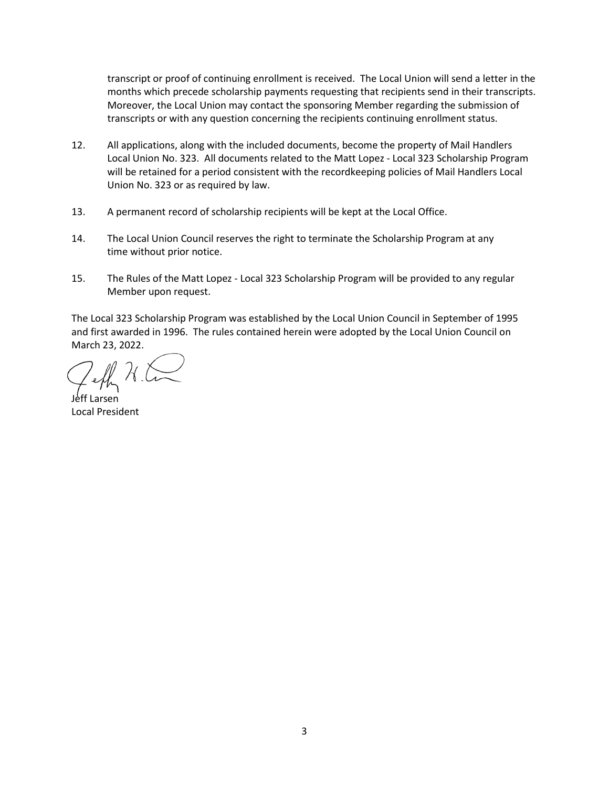transcript or proof of continuing enrollment is received. The Local Union will send a letter in the months which precede scholarship payments requesting that recipients send in their transcripts. Moreover, the Local Union may contact the sponsoring Member regarding the submission of transcripts or with any question concerning the recipients continuing enrollment status.

- 12. All applications, along with the included documents, become the property of Mail Handlers Local Union No. 323. All documents related to the Matt Lopez - Local 323 Scholarship Program will be retained for a period consistent with the recordkeeping policies of Mail Handlers Local Union No. 323 or as required by law.
- 13. A permanent record of scholarship recipients will be kept at the Local Office.
- 14. The Local Union Council reserves the right to terminate the Scholarship Program at any time without prior notice.
- 15. The Rules of the Matt Lopez Local 323 Scholarship Program will be provided to any regular Member upon request.

The Local 323 Scholarship Program was established by the Local Union Council in September of 1995 and first awarded in 1996. The rules contained herein were adopted by the Local Union Council on March 23, 2022.

Jeff Larsen Local President